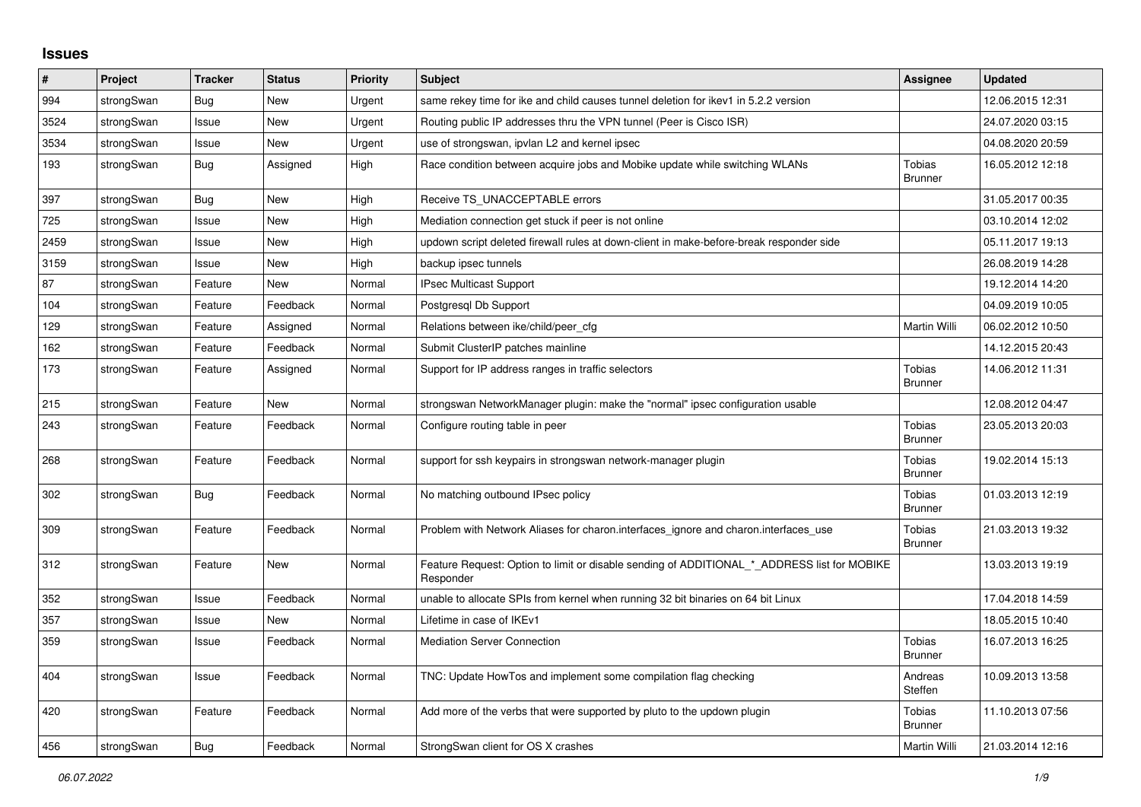## **Issues**

| #    | Project    | <b>Tracker</b> | <b>Status</b> | <b>Priority</b> | <b>Subject</b>                                                                                           | Assignee                 | <b>Updated</b>   |
|------|------------|----------------|---------------|-----------------|----------------------------------------------------------------------------------------------------------|--------------------------|------------------|
| 994  | strongSwan | <b>Bug</b>     | <b>New</b>    | Urgent          | same rekey time for ike and child causes tunnel deletion for ikev1 in 5.2.2 version                      |                          | 12.06.2015 12:31 |
| 3524 | strongSwan | Issue          | <b>New</b>    | Urgent          | Routing public IP addresses thru the VPN tunnel (Peer is Cisco ISR)                                      |                          | 24.07.2020 03:15 |
| 3534 | strongSwan | Issue          | <b>New</b>    | Urgent          | use of strongswan, ipvlan L2 and kernel ipsec                                                            |                          | 04.08.2020 20:59 |
| 193  | strongSwan | Bug            | Assigned      | High            | Race condition between acquire jobs and Mobike update while switching WLANs                              | Tobias<br><b>Brunner</b> | 16.05.2012 12:18 |
| 397  | strongSwan | <b>Bug</b>     | <b>New</b>    | High            | Receive TS_UNACCEPTABLE errors                                                                           |                          | 31.05.2017 00:35 |
| 725  | strongSwan | Issue          | New           | High            | Mediation connection get stuck if peer is not online                                                     |                          | 03.10.2014 12:02 |
| 2459 | strongSwan | Issue          | New           | High            | updown script deleted firewall rules at down-client in make-before-break responder side                  |                          | 05.11.2017 19:13 |
| 3159 | strongSwan | Issue          | <b>New</b>    | High            | backup ipsec tunnels                                                                                     |                          | 26.08.2019 14:28 |
| 87   | strongSwan | Feature        | New           | Normal          | <b>IPsec Multicast Support</b>                                                                           |                          | 19.12.2014 14:20 |
| 104  | strongSwan | Feature        | Feedback      | Normal          | Postgresgl Db Support                                                                                    |                          | 04.09.2019 10:05 |
| 129  | strongSwan | Feature        | Assigned      | Normal          | Relations between ike/child/peer cfg                                                                     | <b>Martin Willi</b>      | 06.02.2012 10:50 |
| 162  | strongSwan | Feature        | Feedback      | Normal          | Submit ClusterIP patches mainline                                                                        |                          | 14.12.2015 20:43 |
| 173  | strongSwan | Feature        | Assigned      | Normal          | Support for IP address ranges in traffic selectors                                                       | Tobias<br><b>Brunner</b> | 14.06.2012 11:31 |
| 215  | strongSwan | Feature        | New           | Normal          | strongswan NetworkManager plugin: make the "normal" ipsec configuration usable                           |                          | 12.08.2012 04:47 |
| 243  | strongSwan | Feature        | Feedback      | Normal          | Configure routing table in peer                                                                          | Tobias<br><b>Brunner</b> | 23.05.2013 20:03 |
| 268  | strongSwan | Feature        | Feedback      | Normal          | support for ssh keypairs in strongswan network-manager plugin                                            | Tobias<br><b>Brunner</b> | 19.02.2014 15:13 |
| 302  | strongSwan | <b>Bug</b>     | Feedback      | Normal          | No matching outbound IPsec policy                                                                        | Tobias<br><b>Brunner</b> | 01.03.2013 12:19 |
| 309  | strongSwan | Feature        | Feedback      | Normal          | Problem with Network Aliases for charon.interfaces_ignore and charon.interfaces_use                      | Tobias<br><b>Brunner</b> | 21.03.2013 19:32 |
| 312  | strongSwan | Feature        | <b>New</b>    | Normal          | Feature Request: Option to limit or disable sending of ADDITIONAL * ADDRESS list for MOBIKE<br>Responder |                          | 13.03.2013 19:19 |
| 352  | strongSwan | Issue          | Feedback      | Normal          | unable to allocate SPIs from kernel when running 32 bit binaries on 64 bit Linux                         |                          | 17.04.2018 14:59 |
| 357  | strongSwan | Issue          | New           | Normal          | Lifetime in case of IKEv1                                                                                |                          | 18.05.2015 10:40 |
| 359  | strongSwan | Issue          | Feedback      | Normal          | <b>Mediation Server Connection</b>                                                                       | Tobias<br><b>Brunner</b> | 16.07.2013 16:25 |
| 404  | strongSwan | Issue          | Feedback      | Normal          | TNC: Update HowTos and implement some compilation flag checking                                          | Andreas<br>Steffen       | 10.09.2013 13:58 |
| 420  | strongSwan | Feature        | Feedback      | Normal          | Add more of the verbs that were supported by pluto to the updown plugin                                  | Tobias<br><b>Brunner</b> | 11.10.2013 07:56 |
| 456  | strongSwan | Bug            | Feedback      | Normal          | StrongSwan client for OS X crashes                                                                       | <b>Martin Willi</b>      | 21.03.2014 12:16 |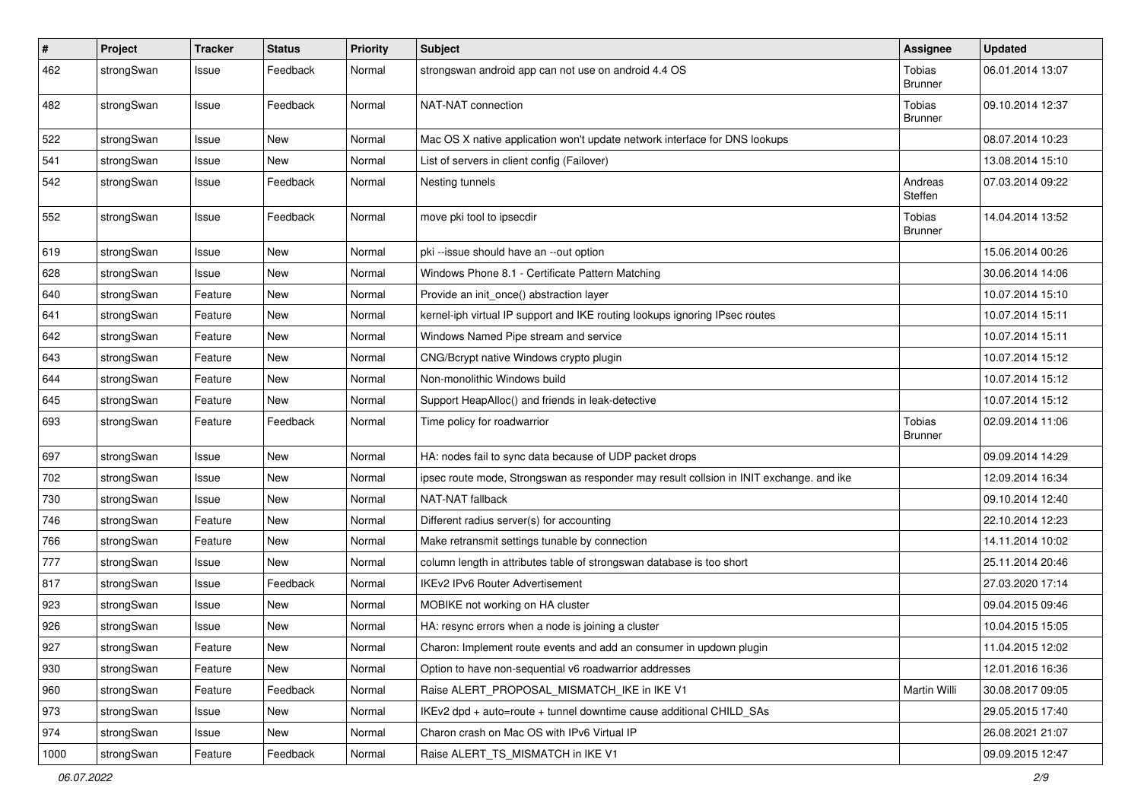| $\pmb{\#}$ | Project    | <b>Tracker</b> | <b>Status</b> | <b>Priority</b> | Subject                                                                                 | <b>Assignee</b>                 | <b>Updated</b>   |
|------------|------------|----------------|---------------|-----------------|-----------------------------------------------------------------------------------------|---------------------------------|------------------|
| 462        | strongSwan | Issue          | Feedback      | Normal          | strongswan android app can not use on android 4.4 OS                                    | Tobias<br><b>Brunner</b>        | 06.01.2014 13:07 |
| 482        | strongSwan | Issue          | Feedback      | Normal          | NAT-NAT connection                                                                      | Tobias<br><b>Brunner</b>        | 09.10.2014 12:37 |
| 522        | strongSwan | Issue          | <b>New</b>    | Normal          | Mac OS X native application won't update network interface for DNS lookups              |                                 | 08.07.2014 10:23 |
| 541        | strongSwan | Issue          | New           | Normal          | List of servers in client config (Failover)                                             |                                 | 13.08.2014 15:10 |
| 542        | strongSwan | Issue          | Feedback      | Normal          | Nesting tunnels                                                                         | Andreas<br>Steffen              | 07.03.2014 09:22 |
| 552        | strongSwan | Issue          | Feedback      | Normal          | move pki tool to ipsecdir                                                               | Tobias<br><b>Brunner</b>        | 14.04.2014 13:52 |
| 619        | strongSwan | Issue          | New           | Normal          | pki-issue should have an --out option                                                   |                                 | 15.06.2014 00:26 |
| 628        | strongSwan | Issue          | New           | Normal          | Windows Phone 8.1 - Certificate Pattern Matching                                        |                                 | 30.06.2014 14:06 |
| 640        | strongSwan | Feature        | New           | Normal          | Provide an init_once() abstraction layer                                                |                                 | 10.07.2014 15:10 |
| 641        | strongSwan | Feature        | New           | Normal          | kernel-iph virtual IP support and IKE routing lookups ignoring IPsec routes             |                                 | 10.07.2014 15:11 |
| 642        | strongSwan | Feature        | New           | Normal          | Windows Named Pipe stream and service                                                   |                                 | 10.07.2014 15:11 |
| 643        | strongSwan | Feature        | New           | Normal          | CNG/Bcrypt native Windows crypto plugin                                                 |                                 | 10.07.2014 15:12 |
| 644        | strongSwan | Feature        | New           | Normal          | Non-monolithic Windows build                                                            |                                 | 10.07.2014 15:12 |
| 645        | strongSwan | Feature        | <b>New</b>    | Normal          | Support HeapAlloc() and friends in leak-detective                                       |                                 | 10.07.2014 15:12 |
| 693        | strongSwan | Feature        | Feedback      | Normal          | Time policy for roadwarrior                                                             | <b>Tobias</b><br><b>Brunner</b> | 02.09.2014 11:06 |
| 697        | strongSwan | Issue          | New           | Normal          | HA: nodes fail to sync data because of UDP packet drops                                 |                                 | 09.09.2014 14:29 |
| 702        | strongSwan | Issue          | New           | Normal          | ipsec route mode, Strongswan as responder may result collsion in INIT exchange. and ike |                                 | 12.09.2014 16:34 |
| 730        | strongSwan | Issue          | New           | Normal          | NAT-NAT fallback                                                                        |                                 | 09.10.2014 12:40 |
| 746        | strongSwan | Feature        | New           | Normal          | Different radius server(s) for accounting                                               |                                 | 22.10.2014 12:23 |
| 766        | strongSwan | Feature        | New           | Normal          | Make retransmit settings tunable by connection                                          |                                 | 14.11.2014 10:02 |
| 777        | strongSwan | Issue          | <b>New</b>    | Normal          | column length in attributes table of strongswan database is too short                   |                                 | 25.11.2014 20:46 |
| 817        | strongSwan | Issue          | Feedback      | Normal          | IKEv2 IPv6 Router Advertisement                                                         |                                 | 27.03.2020 17:14 |
| 923        | strongSwan | Issue          | New           | Normal          | MOBIKE not working on HA cluster                                                        |                                 | 09.04.2015 09:46 |
| 926        | strongSwan | Issue          | New           | Normal          | HA: resync errors when a node is joining a cluster                                      |                                 | 10.04.2015 15:05 |
| 927        | strongSwan | Feature        | New           | Normal          | Charon: Implement route events and add an consumer in updown plugin                     |                                 | 11.04.2015 12:02 |
| 930        | strongSwan | Feature        | New           | Normal          | Option to have non-sequential v6 roadwarrior addresses                                  |                                 | 12.01.2016 16:36 |
| 960        | strongSwan | Feature        | Feedback      | Normal          | Raise ALERT_PROPOSAL_MISMATCH_IKE in IKE V1                                             | Martin Willi                    | 30.08.2017 09:05 |
| 973        | strongSwan | Issue          | New           | Normal          | IKEv2 dpd + auto=route + tunnel downtime cause additional CHILD_SAs                     |                                 | 29.05.2015 17:40 |
| 974        | strongSwan | Issue          | New           | Normal          | Charon crash on Mac OS with IPv6 Virtual IP                                             |                                 | 26.08.2021 21:07 |
| 1000       | strongSwan | Feature        | Feedback      | Normal          | Raise ALERT_TS_MISMATCH in IKE V1                                                       |                                 | 09.09.2015 12:47 |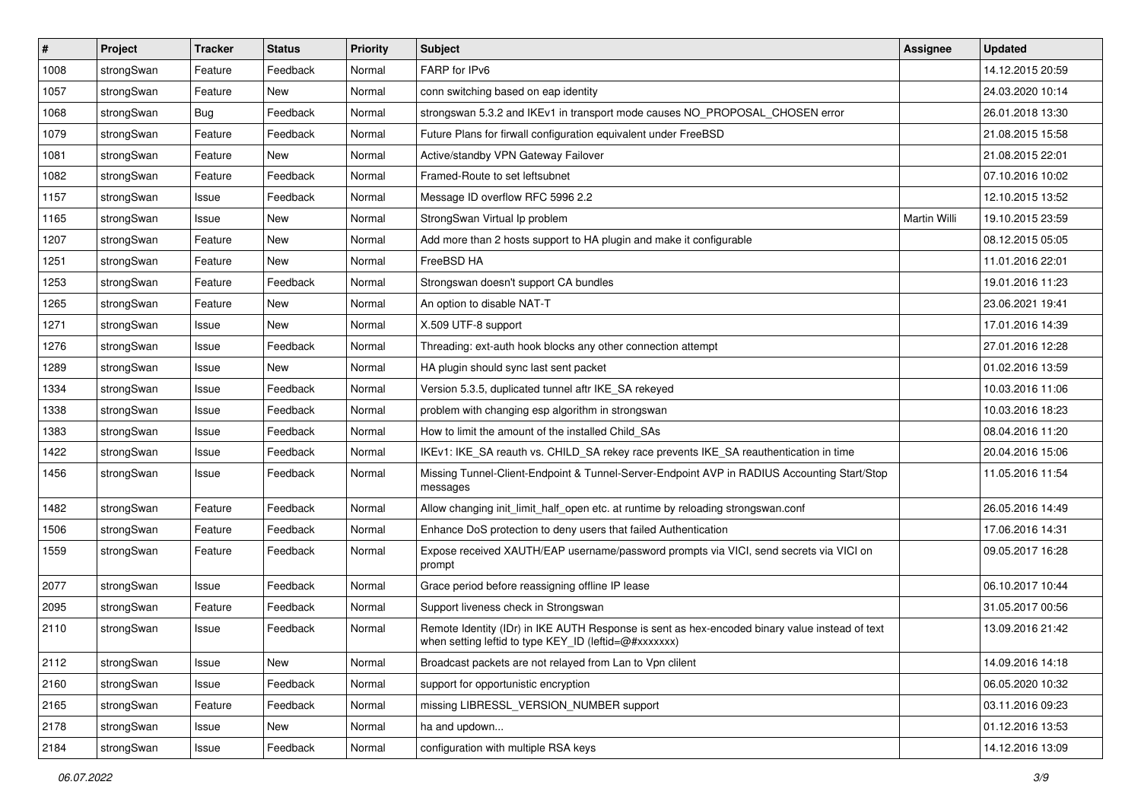| #    | Project    | <b>Tracker</b> | <b>Status</b> | <b>Priority</b> | <b>Subject</b>                                                                                                                                          | <b>Assignee</b> | <b>Updated</b>   |
|------|------------|----------------|---------------|-----------------|---------------------------------------------------------------------------------------------------------------------------------------------------------|-----------------|------------------|
| 1008 | strongSwan | Feature        | Feedback      | Normal          | FARP for IPv6                                                                                                                                           |                 | 14.12.2015 20:59 |
| 1057 | strongSwan | Feature        | New           | Normal          | conn switching based on eap identity                                                                                                                    |                 | 24.03.2020 10:14 |
| 1068 | strongSwan | <b>Bug</b>     | Feedback      | Normal          | strongswan 5.3.2 and IKEv1 in transport mode causes NO_PROPOSAL_CHOSEN error                                                                            |                 | 26.01.2018 13:30 |
| 1079 | strongSwan | Feature        | Feedback      | Normal          | Future Plans for firwall configuration equivalent under FreeBSD                                                                                         |                 | 21.08.2015 15:58 |
| 1081 | strongSwan | Feature        | New           | Normal          | Active/standby VPN Gateway Failover                                                                                                                     |                 | 21.08.2015 22:01 |
| 1082 | strongSwan | Feature        | Feedback      | Normal          | Framed-Route to set leftsubnet                                                                                                                          |                 | 07.10.2016 10:02 |
| 1157 | strongSwan | Issue          | Feedback      | Normal          | Message ID overflow RFC 5996 2.2                                                                                                                        |                 | 12.10.2015 13:52 |
| 1165 | strongSwan | Issue          | New           | Normal          | StrongSwan Virtual Ip problem                                                                                                                           | Martin Willi    | 19.10.2015 23:59 |
| 1207 | strongSwan | Feature        | New           | Normal          | Add more than 2 hosts support to HA plugin and make it configurable                                                                                     |                 | 08.12.2015 05:05 |
| 1251 | strongSwan | Feature        | New           | Normal          | FreeBSD HA                                                                                                                                              |                 | 11.01.2016 22:01 |
| 1253 | strongSwan | Feature        | Feedback      | Normal          | Strongswan doesn't support CA bundles                                                                                                                   |                 | 19.01.2016 11:23 |
| 1265 | strongSwan | Feature        | New           | Normal          | An option to disable NAT-T                                                                                                                              |                 | 23.06.2021 19:41 |
| 1271 | strongSwan | Issue          | New           | Normal          | X.509 UTF-8 support                                                                                                                                     |                 | 17.01.2016 14:39 |
| 1276 | strongSwan | Issue          | Feedback      | Normal          | Threading: ext-auth hook blocks any other connection attempt                                                                                            |                 | 27.01.2016 12:28 |
| 1289 | strongSwan | Issue          | <b>New</b>    | Normal          | HA plugin should sync last sent packet                                                                                                                  |                 | 01.02.2016 13:59 |
| 1334 | strongSwan | Issue          | Feedback      | Normal          | Version 5.3.5, duplicated tunnel aftr IKE_SA rekeyed                                                                                                    |                 | 10.03.2016 11:06 |
| 1338 | strongSwan | Issue          | Feedback      | Normal          | problem with changing esp algorithm in strongswan                                                                                                       |                 | 10.03.2016 18:23 |
| 1383 | strongSwan | Issue          | Feedback      | Normal          | How to limit the amount of the installed Child SAs                                                                                                      |                 | 08.04.2016 11:20 |
| 1422 | strongSwan | Issue          | Feedback      | Normal          | IKEv1: IKE_SA reauth vs. CHILD_SA rekey race prevents IKE_SA reauthentication in time                                                                   |                 | 20.04.2016 15:06 |
| 1456 | strongSwan | Issue          | Feedback      | Normal          | Missing Tunnel-Client-Endpoint & Tunnel-Server-Endpoint AVP in RADIUS Accounting Start/Stop<br>messages                                                 |                 | 11.05.2016 11:54 |
| 1482 | strongSwan | Feature        | Feedback      | Normal          | Allow changing init_limit_half_open etc. at runtime by reloading strongswan.conf                                                                        |                 | 26.05.2016 14:49 |
| 1506 | strongSwan | Feature        | Feedback      | Normal          | Enhance DoS protection to deny users that failed Authentication                                                                                         |                 | 17.06.2016 14:31 |
| 1559 | strongSwan | Feature        | Feedback      | Normal          | Expose received XAUTH/EAP username/password prompts via VICI, send secrets via VICI on<br>prompt                                                        |                 | 09.05.2017 16:28 |
| 2077 | strongSwan | Issue          | Feedback      | Normal          | Grace period before reassigning offline IP lease                                                                                                        |                 | 06.10.2017 10:44 |
| 2095 | strongSwan | Feature        | Feedback      | Normal          | Support liveness check in Strongswan                                                                                                                    |                 | 31.05.2017 00:56 |
| 2110 | strongSwan | Issue          | Feedback      | Normal          | Remote Identity (IDr) in IKE AUTH Response is sent as hex-encoded binary value instead of text<br>when setting leftid to type KEY_ID (leftid=@#xxxxxxx) |                 | 13.09.2016 21:42 |
| 2112 | strongSwan | Issue          | New           | Normal          | Broadcast packets are not relayed from Lan to Vpn clilent                                                                                               |                 | 14.09.2016 14:18 |
| 2160 | strongSwan | Issue          | Feedback      | Normal          | support for opportunistic encryption                                                                                                                    |                 | 06.05.2020 10:32 |
| 2165 | strongSwan | Feature        | Feedback      | Normal          | missing LIBRESSL_VERSION_NUMBER support                                                                                                                 |                 | 03.11.2016 09:23 |
| 2178 | strongSwan | Issue          | New           | Normal          | ha and updown                                                                                                                                           |                 | 01.12.2016 13:53 |
| 2184 | strongSwan | Issue          | Feedback      | Normal          | configuration with multiple RSA keys                                                                                                                    |                 | 14.12.2016 13:09 |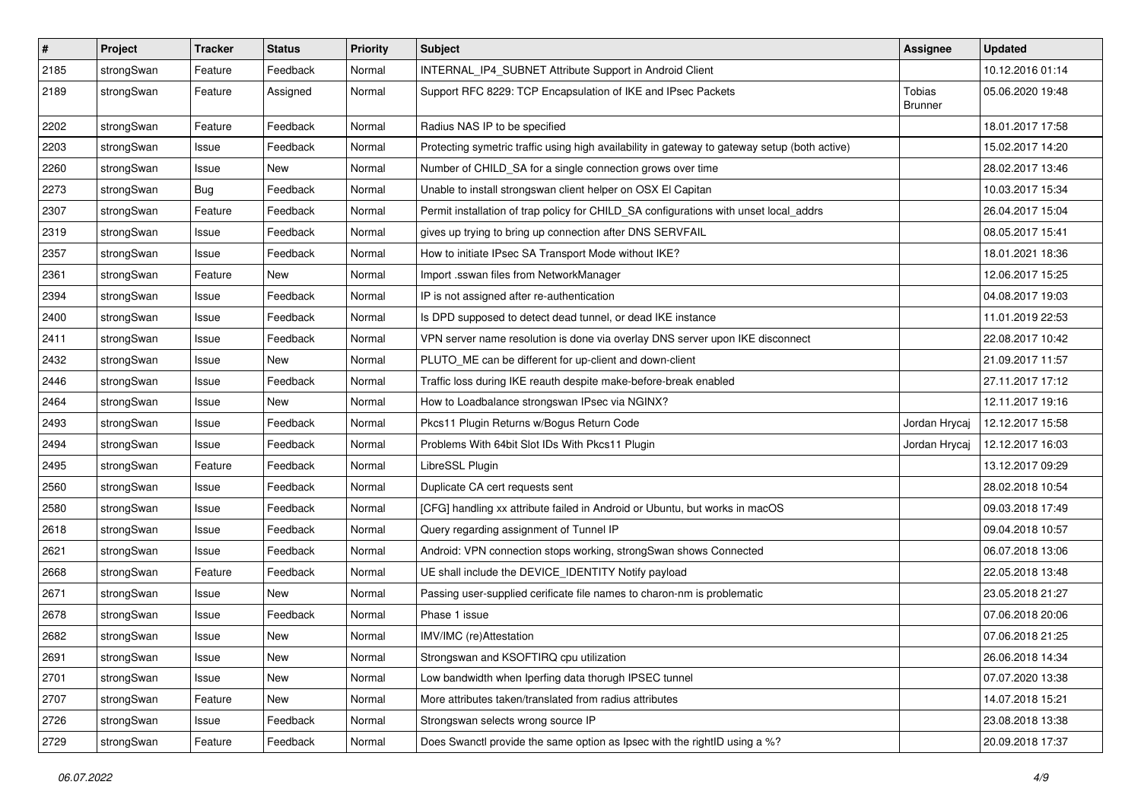| $\pmb{\#}$ | Project    | <b>Tracker</b> | <b>Status</b> | <b>Priority</b> | <b>Subject</b>                                                                                | <b>Assignee</b>          | <b>Updated</b>   |
|------------|------------|----------------|---------------|-----------------|-----------------------------------------------------------------------------------------------|--------------------------|------------------|
| 2185       | strongSwan | Feature        | Feedback      | Normal          | INTERNAL_IP4_SUBNET Attribute Support in Android Client                                       |                          | 10.12.2016 01:14 |
| 2189       | strongSwan | Feature        | Assigned      | Normal          | Support RFC 8229: TCP Encapsulation of IKE and IPsec Packets                                  | Tobias<br><b>Brunner</b> | 05.06.2020 19:48 |
| 2202       | strongSwan | Feature        | Feedback      | Normal          | Radius NAS IP to be specified                                                                 |                          | 18.01.2017 17:58 |
| 2203       | strongSwan | Issue          | Feedback      | Normal          | Protecting symetric traffic using high availability in gateway to gateway setup (both active) |                          | 15.02.2017 14:20 |
| 2260       | strongSwan | Issue          | New           | Normal          | Number of CHILD_SA for a single connection grows over time                                    |                          | 28.02.2017 13:46 |
| 2273       | strongSwan | Bug            | Feedback      | Normal          | Unable to install strongswan client helper on OSX El Capitan                                  |                          | 10.03.2017 15:34 |
| 2307       | strongSwan | Feature        | Feedback      | Normal          | Permit installation of trap policy for CHILD_SA configurations with unset local_addrs         |                          | 26.04.2017 15:04 |
| 2319       | strongSwan | Issue          | Feedback      | Normal          | gives up trying to bring up connection after DNS SERVFAIL                                     |                          | 08.05.2017 15:41 |
| 2357       | strongSwan | Issue          | Feedback      | Normal          | How to initiate IPsec SA Transport Mode without IKE?                                          |                          | 18.01.2021 18:36 |
| 2361       | strongSwan | Feature        | New           | Normal          | Import .sswan files from NetworkManager                                                       |                          | 12.06.2017 15:25 |
| 2394       | strongSwan | Issue          | Feedback      | Normal          | IP is not assigned after re-authentication                                                    |                          | 04.08.2017 19:03 |
| 2400       | strongSwan | Issue          | Feedback      | Normal          | Is DPD supposed to detect dead tunnel, or dead IKE instance                                   |                          | 11.01.2019 22:53 |
| 2411       | strongSwan | Issue          | Feedback      | Normal          | VPN server name resolution is done via overlay DNS server upon IKE disconnect                 |                          | 22.08.2017 10:42 |
| 2432       | strongSwan | Issue          | New           | Normal          | PLUTO_ME can be different for up-client and down-client                                       |                          | 21.09.2017 11:57 |
| 2446       | strongSwan | Issue          | Feedback      | Normal          | Traffic loss during IKE reauth despite make-before-break enabled                              |                          | 27.11.2017 17:12 |
| 2464       | strongSwan | Issue          | New           | Normal          | How to Loadbalance strongswan IPsec via NGINX?                                                |                          | 12.11.2017 19:16 |
| 2493       | strongSwan | Issue          | Feedback      | Normal          | Pkcs11 Plugin Returns w/Bogus Return Code                                                     | Jordan Hrycaj            | 12.12.2017 15:58 |
| 2494       | strongSwan | Issue          | Feedback      | Normal          | Problems With 64bit Slot IDs With Pkcs11 Plugin                                               | Jordan Hrycaj            | 12.12.2017 16:03 |
| 2495       | strongSwan | Feature        | Feedback      | Normal          | LibreSSL Plugin                                                                               |                          | 13.12.2017 09:29 |
| 2560       | strongSwan | Issue          | Feedback      | Normal          | Duplicate CA cert requests sent                                                               |                          | 28.02.2018 10:54 |
| 2580       | strongSwan | Issue          | Feedback      | Normal          | [CFG] handling xx attribute failed in Android or Ubuntu, but works in macOS                   |                          | 09.03.2018 17:49 |
| 2618       | strongSwan | Issue          | Feedback      | Normal          | Query regarding assignment of Tunnel IP                                                       |                          | 09.04.2018 10:57 |
| 2621       | strongSwan | Issue          | Feedback      | Normal          | Android: VPN connection stops working, strongSwan shows Connected                             |                          | 06.07.2018 13:06 |
| 2668       | strongSwan | Feature        | Feedback      | Normal          | UE shall include the DEVICE_IDENTITY Notify payload                                           |                          | 22.05.2018 13:48 |
| 2671       | strongSwan | Issue          | New           | Normal          | Passing user-supplied cerificate file names to charon-nm is problematic                       |                          | 23.05.2018 21:27 |
| 2678       | strongSwan | Issue          | Feedback      | Normal          | Phase 1 issue                                                                                 |                          | 07.06.2018 20:06 |
| 2682       | strongSwan | Issue          | New           | Normal          | IMV/IMC (re)Attestation                                                                       |                          | 07.06.2018 21:25 |
| 2691       | strongSwan | Issue          | New           | Normal          | Strongswan and KSOFTIRQ cpu utilization                                                       |                          | 26.06.2018 14:34 |
| 2701       | strongSwan | Issue          | New           | Normal          | Low bandwidth when Iperfing data thorugh IPSEC tunnel                                         |                          | 07.07.2020 13:38 |
| 2707       | strongSwan | Feature        | New           | Normal          | More attributes taken/translated from radius attributes                                       |                          | 14.07.2018 15:21 |
| 2726       | strongSwan | Issue          | Feedback      | Normal          | Strongswan selects wrong source IP                                                            |                          | 23.08.2018 13:38 |
| 2729       | strongSwan | Feature        | Feedback      | Normal          | Does Swanctl provide the same option as Ipsec with the rightID using a %?                     |                          | 20.09.2018 17:37 |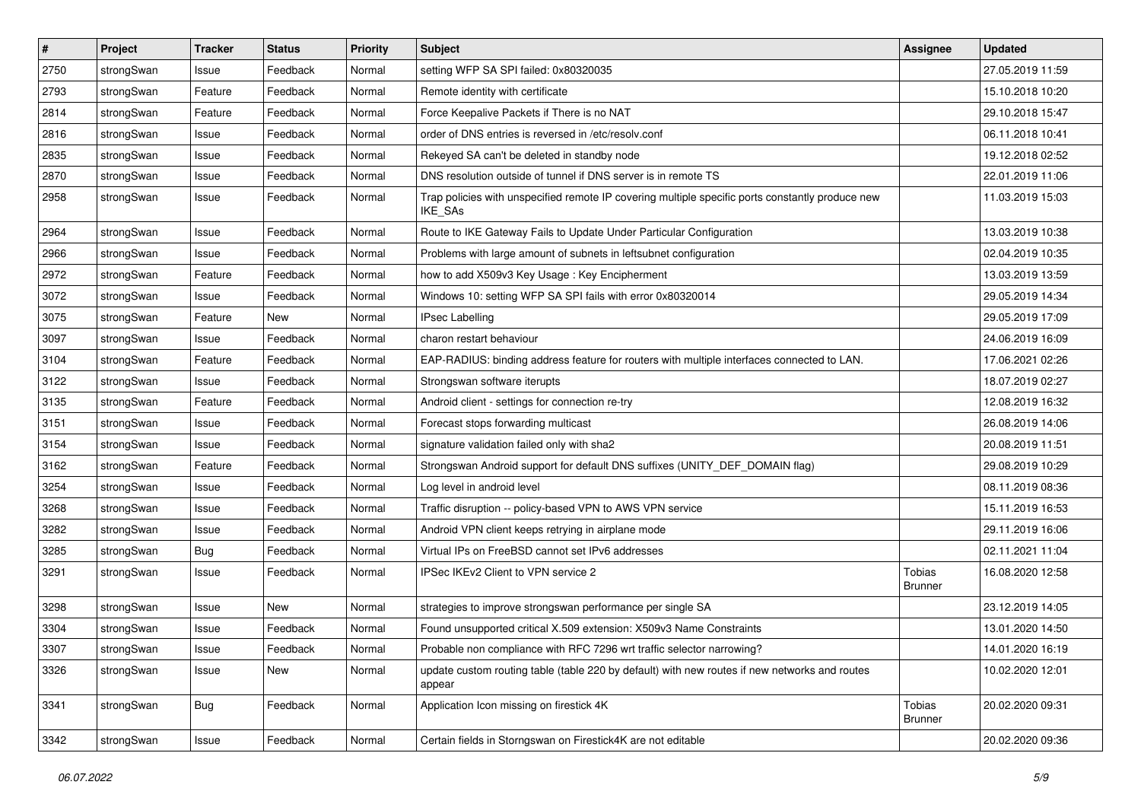| $\sharp$ | Project    | <b>Tracker</b> | <b>Status</b> | <b>Priority</b> | <b>Subject</b>                                                                                              | <b>Assignee</b>                 | <b>Updated</b>   |
|----------|------------|----------------|---------------|-----------------|-------------------------------------------------------------------------------------------------------------|---------------------------------|------------------|
| 2750     | strongSwan | Issue          | Feedback      | Normal          | setting WFP SA SPI failed: 0x80320035                                                                       |                                 | 27.05.2019 11:59 |
| 2793     | strongSwan | Feature        | Feedback      | Normal          | Remote identity with certificate                                                                            |                                 | 15.10.2018 10:20 |
| 2814     | strongSwan | Feature        | Feedback      | Normal          | Force Keepalive Packets if There is no NAT                                                                  |                                 | 29.10.2018 15:47 |
| 2816     | strongSwan | Issue          | Feedback      | Normal          | order of DNS entries is reversed in /etc/resolv.conf                                                        |                                 | 06.11.2018 10:41 |
| 2835     | strongSwan | Issue          | Feedback      | Normal          | Rekeyed SA can't be deleted in standby node                                                                 |                                 | 19.12.2018 02:52 |
| 2870     | strongSwan | Issue          | Feedback      | Normal          | DNS resolution outside of tunnel if DNS server is in remote TS                                              |                                 | 22.01.2019 11:06 |
| 2958     | strongSwan | Issue          | Feedback      | Normal          | Trap policies with unspecified remote IP covering multiple specific ports constantly produce new<br>IKE_SAs |                                 | 11.03.2019 15:03 |
| 2964     | strongSwan | Issue          | Feedback      | Normal          | Route to IKE Gateway Fails to Update Under Particular Configuration                                         |                                 | 13.03.2019 10:38 |
| 2966     | strongSwan | Issue          | Feedback      | Normal          | Problems with large amount of subnets in leftsubnet configuration                                           |                                 | 02.04.2019 10:35 |
| 2972     | strongSwan | Feature        | Feedback      | Normal          | how to add X509v3 Key Usage: Key Encipherment                                                               |                                 | 13.03.2019 13:59 |
| 3072     | strongSwan | Issue          | Feedback      | Normal          | Windows 10: setting WFP SA SPI fails with error 0x80320014                                                  |                                 | 29.05.2019 14:34 |
| 3075     | strongSwan | Feature        | New           | Normal          | <b>IPsec Labelling</b>                                                                                      |                                 | 29.05.2019 17:09 |
| 3097     | strongSwan | Issue          | Feedback      | Normal          | charon restart behaviour                                                                                    |                                 | 24.06.2019 16:09 |
| 3104     | strongSwan | Feature        | Feedback      | Normal          | EAP-RADIUS: binding address feature for routers with multiple interfaces connected to LAN.                  |                                 | 17.06.2021 02:26 |
| 3122     | strongSwan | Issue          | Feedback      | Normal          | Strongswan software iterupts                                                                                |                                 | 18.07.2019 02:27 |
| 3135     | strongSwan | Feature        | Feedback      | Normal          | Android client - settings for connection re-try                                                             |                                 | 12.08.2019 16:32 |
| 3151     | strongSwan | Issue          | Feedback      | Normal          | Forecast stops forwarding multicast                                                                         |                                 | 26.08.2019 14:06 |
| 3154     | strongSwan | Issue          | Feedback      | Normal          | signature validation failed only with sha2                                                                  |                                 | 20.08.2019 11:51 |
| 3162     | strongSwan | Feature        | Feedback      | Normal          | Strongswan Android support for default DNS suffixes (UNITY_DEF_DOMAIN flag)                                 |                                 | 29.08.2019 10:29 |
| 3254     | strongSwan | Issue          | Feedback      | Normal          | Log level in android level                                                                                  |                                 | 08.11.2019 08:36 |
| 3268     | strongSwan | Issue          | Feedback      | Normal          | Traffic disruption -- policy-based VPN to AWS VPN service                                                   |                                 | 15.11.2019 16:53 |
| 3282     | strongSwan | Issue          | Feedback      | Normal          | Android VPN client keeps retrying in airplane mode                                                          |                                 | 29.11.2019 16:06 |
| 3285     | strongSwan | <b>Bug</b>     | Feedback      | Normal          | Virtual IPs on FreeBSD cannot set IPv6 addresses                                                            |                                 | 02.11.2021 11:04 |
| 3291     | strongSwan | Issue          | Feedback      | Normal          | IPSec IKEv2 Client to VPN service 2                                                                         | Tobias<br><b>Brunner</b>        | 16.08.2020 12:58 |
| 3298     | strongSwan | Issue          | <b>New</b>    | Normal          | strategies to improve strongswan performance per single SA                                                  |                                 | 23.12.2019 14:05 |
| 3304     | strongSwan | Issue          | Feedback      | Normal          | Found unsupported critical X.509 extension: X509v3 Name Constraints                                         |                                 | 13.01.2020 14:50 |
| 3307     | strongSwan | Issue          | Feedback      | Normal          | Probable non compliance with RFC 7296 wrt traffic selector narrowing?                                       |                                 | 14.01.2020 16:19 |
| 3326     | strongSwan | Issue          | New           | Normal          | update custom routing table (table 220 by default) with new routes if new networks and routes<br>appear     |                                 | 10.02.2020 12:01 |
| 3341     | strongSwan | <b>Bug</b>     | Feedback      | Normal          | Application Icon missing on firestick 4K                                                                    | <b>Tobias</b><br><b>Brunner</b> | 20.02.2020 09:31 |
| 3342     | strongSwan | Issue          | Feedback      | Normal          | Certain fields in Storngswan on Firestick4K are not editable                                                |                                 | 20.02.2020 09:36 |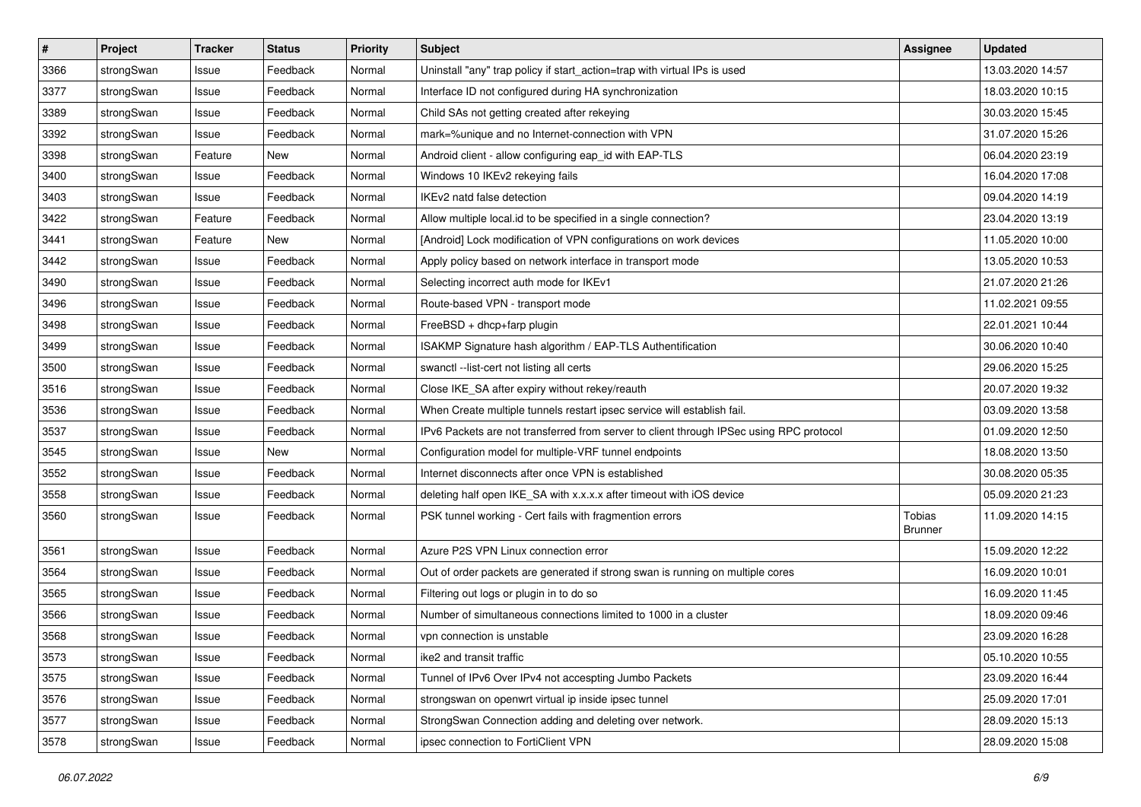| #    | Project    | <b>Tracker</b> | <b>Status</b> | <b>Priority</b> | <b>Subject</b>                                                                          | <b>Assignee</b>          | <b>Updated</b>   |
|------|------------|----------------|---------------|-----------------|-----------------------------------------------------------------------------------------|--------------------------|------------------|
| 3366 | strongSwan | Issue          | Feedback      | Normal          | Uninstall "any" trap policy if start_action=trap with virtual IPs is used               |                          | 13.03.2020 14:57 |
| 3377 | strongSwan | Issue          | Feedback      | Normal          | Interface ID not configured during HA synchronization                                   |                          | 18.03.2020 10:15 |
| 3389 | strongSwan | Issue          | Feedback      | Normal          | Child SAs not getting created after rekeying                                            |                          | 30.03.2020 15:45 |
| 3392 | strongSwan | Issue          | Feedback      | Normal          | mark=%unique and no Internet-connection with VPN                                        |                          | 31.07.2020 15:26 |
| 3398 | strongSwan | Feature        | New           | Normal          | Android client - allow configuring eap_id with EAP-TLS                                  |                          | 06.04.2020 23:19 |
| 3400 | strongSwan | Issue          | Feedback      | Normal          | Windows 10 IKEv2 rekeying fails                                                         |                          | 16.04.2020 17:08 |
| 3403 | strongSwan | Issue          | Feedback      | Normal          | IKEv2 natd false detection                                                              |                          | 09.04.2020 14:19 |
| 3422 | strongSwan | Feature        | Feedback      | Normal          | Allow multiple local.id to be specified in a single connection?                         |                          | 23.04.2020 13:19 |
| 3441 | strongSwan | Feature        | New           | Normal          | [Android] Lock modification of VPN configurations on work devices                       |                          | 11.05.2020 10:00 |
| 3442 | strongSwan | Issue          | Feedback      | Normal          | Apply policy based on network interface in transport mode                               |                          | 13.05.2020 10:53 |
| 3490 | strongSwan | Issue          | Feedback      | Normal          | Selecting incorrect auth mode for IKEv1                                                 |                          | 21.07.2020 21:26 |
| 3496 | strongSwan | Issue          | Feedback      | Normal          | Route-based VPN - transport mode                                                        |                          | 11.02.2021 09:55 |
| 3498 | strongSwan | Issue          | Feedback      | Normal          | FreeBSD + dhcp+farp plugin                                                              |                          | 22.01.2021 10:44 |
| 3499 | strongSwan | Issue          | Feedback      | Normal          | ISAKMP Signature hash algorithm / EAP-TLS Authentification                              |                          | 30.06.2020 10:40 |
| 3500 | strongSwan | Issue          | Feedback      | Normal          | swanctl --list-cert not listing all certs                                               |                          | 29.06.2020 15:25 |
| 3516 | strongSwan | Issue          | Feedback      | Normal          | Close IKE_SA after expiry without rekey/reauth                                          |                          | 20.07.2020 19:32 |
| 3536 | strongSwan | Issue          | Feedback      | Normal          | When Create multiple tunnels restart ipsec service will establish fail.                 |                          | 03.09.2020 13:58 |
| 3537 | strongSwan | Issue          | Feedback      | Normal          | IPv6 Packets are not transferred from server to client through IPSec using RPC protocol |                          | 01.09.2020 12:50 |
| 3545 | strongSwan | Issue          | New           | Normal          | Configuration model for multiple-VRF tunnel endpoints                                   |                          | 18.08.2020 13:50 |
| 3552 | strongSwan | Issue          | Feedback      | Normal          | Internet disconnects after once VPN is established                                      |                          | 30.08.2020 05:35 |
| 3558 | strongSwan | Issue          | Feedback      | Normal          | deleting half open IKE_SA with x.x.x.x after timeout with iOS device                    |                          | 05.09.2020 21:23 |
| 3560 | strongSwan | Issue          | Feedback      | Normal          | PSK tunnel working - Cert fails with fragmention errors                                 | Tobias<br><b>Brunner</b> | 11.09.2020 14:15 |
| 3561 | strongSwan | Issue          | Feedback      | Normal          | Azure P2S VPN Linux connection error                                                    |                          | 15.09.2020 12:22 |
| 3564 | strongSwan | Issue          | Feedback      | Normal          | Out of order packets are generated if strong swan is running on multiple cores          |                          | 16.09.2020 10:01 |
| 3565 | strongSwan | Issue          | Feedback      | Normal          | Filtering out logs or plugin in to do so                                                |                          | 16.09.2020 11:45 |
| 3566 | strongSwan | Issue          | Feedback      | Normal          | Number of simultaneous connections limited to 1000 in a cluster                         |                          | 18.09.2020 09:46 |
| 3568 | strongSwan | Issue          | Feedback      | Normal          | vpn connection is unstable                                                              |                          | 23.09.2020 16:28 |
| 3573 | strongSwan | Issue          | Feedback      | Normal          | ike2 and transit traffic                                                                |                          | 05.10.2020 10:55 |
| 3575 | strongSwan | Issue          | Feedback      | Normal          | Tunnel of IPv6 Over IPv4 not accespting Jumbo Packets                                   |                          | 23.09.2020 16:44 |
| 3576 | strongSwan | Issue          | Feedback      | Normal          | strongswan on openwrt virtual ip inside ipsec tunnel                                    |                          | 25.09.2020 17:01 |
| 3577 | strongSwan | Issue          | Feedback      | Normal          | StrongSwan Connection adding and deleting over network.                                 |                          | 28.09.2020 15:13 |
| 3578 | strongSwan | Issue          | Feedback      | Normal          | ipsec connection to FortiClient VPN                                                     |                          | 28.09.2020 15:08 |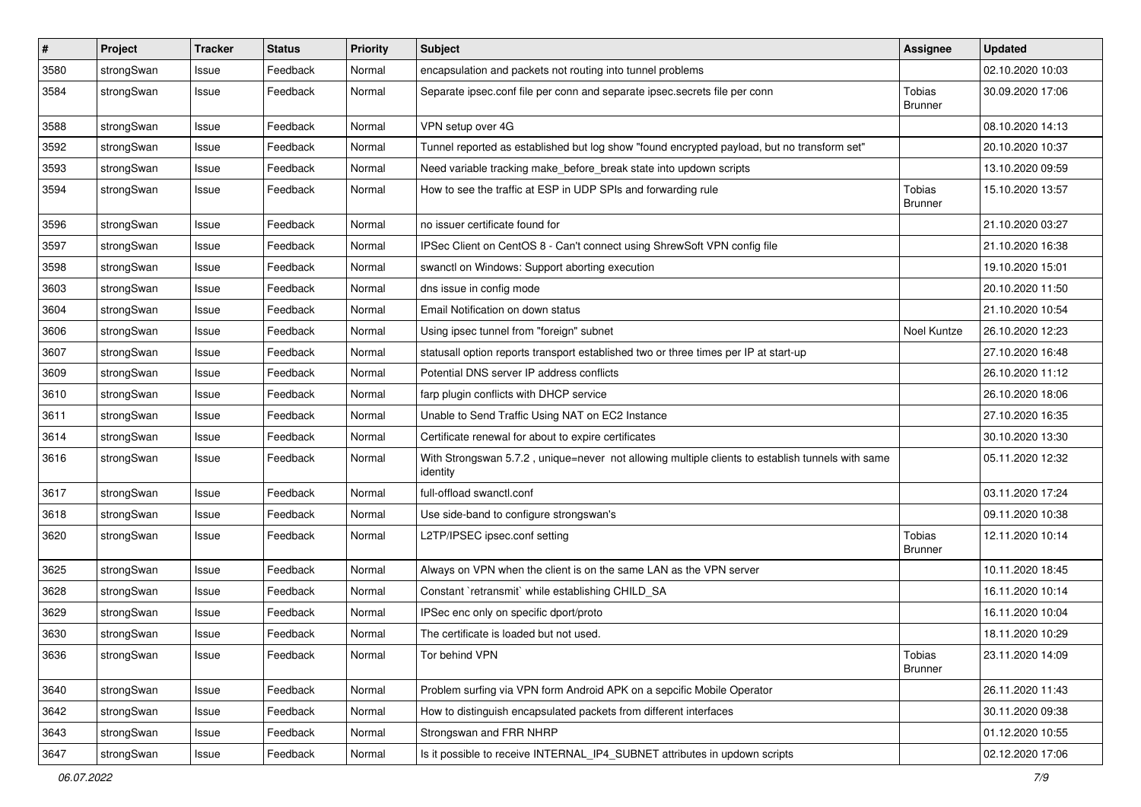| $\pmb{\#}$ | Project    | <b>Tracker</b> | <b>Status</b> | <b>Priority</b> | Subject                                                                                                      | <b>Assignee</b>                 | <b>Updated</b>   |
|------------|------------|----------------|---------------|-----------------|--------------------------------------------------------------------------------------------------------------|---------------------------------|------------------|
| 3580       | strongSwan | Issue          | Feedback      | Normal          | encapsulation and packets not routing into tunnel problems                                                   |                                 | 02.10.2020 10:03 |
| 3584       | strongSwan | Issue          | Feedback      | Normal          | Separate ipsec.conf file per conn and separate ipsec.secrets file per conn                                   | <b>Tobias</b><br><b>Brunner</b> | 30.09.2020 17:06 |
| 3588       | strongSwan | Issue          | Feedback      | Normal          | VPN setup over 4G                                                                                            |                                 | 08.10.2020 14:13 |
| 3592       | strongSwan | Issue          | Feedback      | Normal          | Tunnel reported as established but log show "found encrypted payload, but no transform set"                  |                                 | 20.10.2020 10:37 |
| 3593       | strongSwan | Issue          | Feedback      | Normal          | Need variable tracking make_before_break state into updown scripts                                           |                                 | 13.10.2020 09:59 |
| 3594       | strongSwan | Issue          | Feedback      | Normal          | How to see the traffic at ESP in UDP SPIs and forwarding rule                                                | <b>Tobias</b><br>Brunner        | 15.10.2020 13:57 |
| 3596       | strongSwan | Issue          | Feedback      | Normal          | no issuer certificate found for                                                                              |                                 | 21.10.2020 03:27 |
| 3597       | strongSwan | Issue          | Feedback      | Normal          | IPSec Client on CentOS 8 - Can't connect using ShrewSoft VPN config file                                     |                                 | 21.10.2020 16:38 |
| 3598       | strongSwan | Issue          | Feedback      | Normal          | swanctl on Windows: Support aborting execution                                                               |                                 | 19.10.2020 15:01 |
| 3603       | strongSwan | Issue          | Feedback      | Normal          | dns issue in config mode                                                                                     |                                 | 20.10.2020 11:50 |
| 3604       | strongSwan | Issue          | Feedback      | Normal          | Email Notification on down status                                                                            |                                 | 21.10.2020 10:54 |
| 3606       | strongSwan | Issue          | Feedback      | Normal          | Using ipsec tunnel from "foreign" subnet                                                                     | Noel Kuntze                     | 26.10.2020 12:23 |
| 3607       | strongSwan | Issue          | Feedback      | Normal          | statusall option reports transport established two or three times per IP at start-up                         |                                 | 27.10.2020 16:48 |
| 3609       | strongSwan | Issue          | Feedback      | Normal          | Potential DNS server IP address conflicts                                                                    |                                 | 26.10.2020 11:12 |
| 3610       | strongSwan | Issue          | Feedback      | Normal          | farp plugin conflicts with DHCP service                                                                      |                                 | 26.10.2020 18:06 |
| 3611       | strongSwan | Issue          | Feedback      | Normal          | Unable to Send Traffic Using NAT on EC2 Instance                                                             |                                 | 27.10.2020 16:35 |
| 3614       | strongSwan | Issue          | Feedback      | Normal          | Certificate renewal for about to expire certificates                                                         |                                 | 30.10.2020 13:30 |
| 3616       | strongSwan | Issue          | Feedback      | Normal          | With Strongswan 5.7.2, unique=never not allowing multiple clients to establish tunnels with same<br>identity |                                 | 05.11.2020 12:32 |
| 3617       | strongSwan | Issue          | Feedback      | Normal          | full-offload swanctl.conf                                                                                    |                                 | 03.11.2020 17:24 |
| 3618       | strongSwan | Issue          | Feedback      | Normal          | Use side-band to configure strongswan's                                                                      |                                 | 09.11.2020 10:38 |
| 3620       | strongSwan | Issue          | Feedback      | Normal          | L2TP/IPSEC ipsec.conf setting                                                                                | <b>Tobias</b><br><b>Brunner</b> | 12.11.2020 10:14 |
| 3625       | strongSwan | Issue          | Feedback      | Normal          | Always on VPN when the client is on the same LAN as the VPN server                                           |                                 | 10.11.2020 18:45 |
| 3628       | strongSwan | Issue          | Feedback      | Normal          | Constant `retransmit` while establishing CHILD_SA                                                            |                                 | 16.11.2020 10:14 |
| 3629       | strongSwan | Issue          | Feedback      | Normal          | IPSec enc only on specific dport/proto                                                                       |                                 | 16.11.2020 10:04 |
| 3630       | strongSwan | Issue          | Feedback      | Normal          | The certificate is loaded but not used.                                                                      |                                 | 18.11.2020 10:29 |
| 3636       | strongSwan | Issue          | Feedback      | Normal          | Tor behind VPN                                                                                               | Tobias<br><b>Brunner</b>        | 23.11.2020 14:09 |
| 3640       | strongSwan | Issue          | Feedback      | Normal          | Problem surfing via VPN form Android APK on a sepcific Mobile Operator                                       |                                 | 26.11.2020 11:43 |
| 3642       | strongSwan | Issue          | Feedback      | Normal          | How to distinguish encapsulated packets from different interfaces                                            |                                 | 30.11.2020 09:38 |
| 3643       | strongSwan | Issue          | Feedback      | Normal          | Strongswan and FRR NHRP                                                                                      |                                 | 01.12.2020 10:55 |
| 3647       | strongSwan | Issue          | Feedback      | Normal          | Is it possible to receive INTERNAL IP4 SUBNET attributes in updown scripts                                   |                                 | 02.12.2020 17:06 |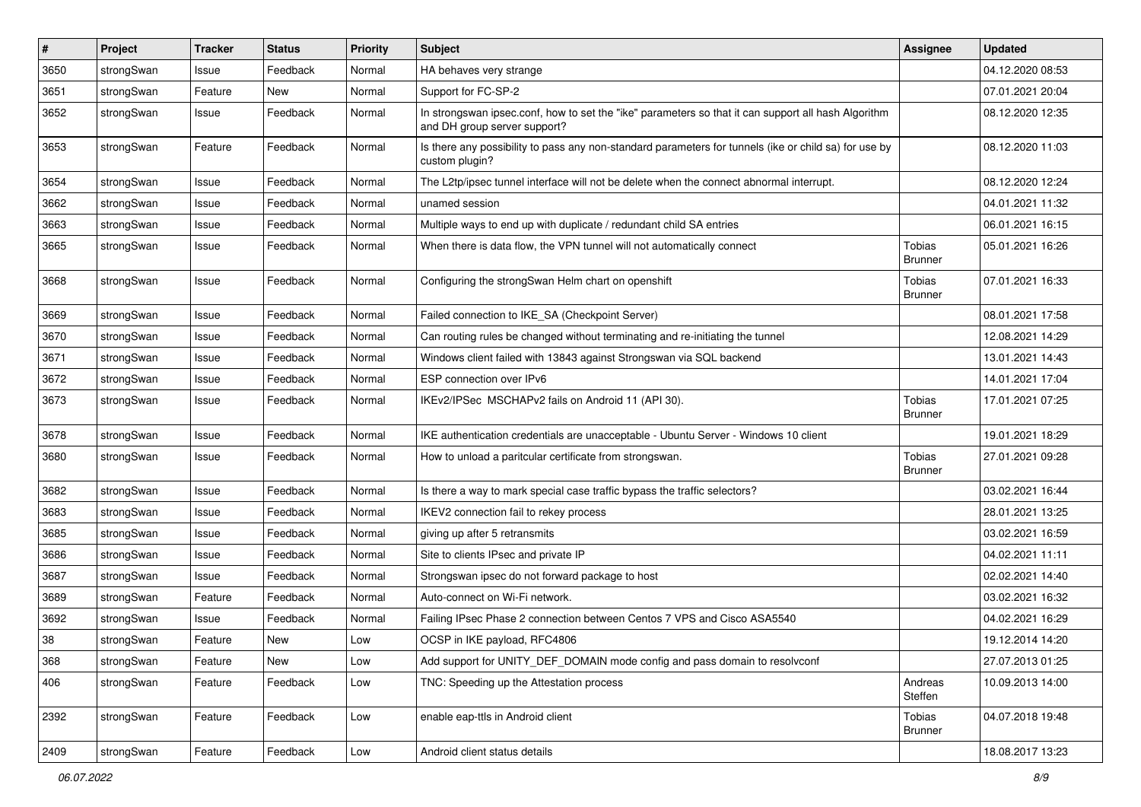| $\sharp$ | Project    | <b>Tracker</b> | <b>Status</b> | <b>Priority</b> | <b>Subject</b>                                                                                                                      | <b>Assignee</b>          | <b>Updated</b>   |
|----------|------------|----------------|---------------|-----------------|-------------------------------------------------------------------------------------------------------------------------------------|--------------------------|------------------|
| 3650     | strongSwan | Issue          | Feedback      | Normal          | HA behaves very strange                                                                                                             |                          | 04.12.2020 08:53 |
| 3651     | strongSwan | Feature        | New           | Normal          | Support for FC-SP-2                                                                                                                 |                          | 07.01.2021 20:04 |
| 3652     | strongSwan | Issue          | Feedback      | Normal          | In strongswan ipsec.conf, how to set the "ike" parameters so that it can support all hash Algorithm<br>and DH group server support? |                          | 08.12.2020 12:35 |
| 3653     | strongSwan | Feature        | Feedback      | Normal          | Is there any possibility to pass any non-standard parameters for tunnels (ike or child sa) for use by<br>custom plugin?             |                          | 08.12.2020 11:03 |
| 3654     | strongSwan | Issue          | Feedback      | Normal          | The L2tp/ipsec tunnel interface will not be delete when the connect abnormal interrupt.                                             |                          | 08.12.2020 12:24 |
| 3662     | strongSwan | Issue          | Feedback      | Normal          | unamed session                                                                                                                      |                          | 04.01.2021 11:32 |
| 3663     | strongSwan | Issue          | Feedback      | Normal          | Multiple ways to end up with duplicate / redundant child SA entries                                                                 |                          | 06.01.2021 16:15 |
| 3665     | strongSwan | Issue          | Feedback      | Normal          | When there is data flow, the VPN tunnel will not automatically connect                                                              | Tobias<br><b>Brunner</b> | 05.01.2021 16:26 |
| 3668     | strongSwan | Issue          | Feedback      | Normal          | Configuring the strongSwan Helm chart on openshift                                                                                  | Tobias<br><b>Brunner</b> | 07.01.2021 16:33 |
| 3669     | strongSwan | Issue          | Feedback      | Normal          | Failed connection to IKE SA (Checkpoint Server)                                                                                     |                          | 08.01.2021 17:58 |
| 3670     | strongSwan | Issue          | Feedback      | Normal          | Can routing rules be changed without terminating and re-initiating the tunnel                                                       |                          | 12.08.2021 14:29 |
| 3671     | strongSwan | Issue          | Feedback      | Normal          | Windows client failed with 13843 against Strongswan via SQL backend                                                                 |                          | 13.01.2021 14:43 |
| 3672     | strongSwan | Issue          | Feedback      | Normal          | ESP connection over IPv6                                                                                                            |                          | 14.01.2021 17:04 |
| 3673     | strongSwan | Issue          | Feedback      | Normal          | IKEv2/IPSec MSCHAPv2 fails on Android 11 (API 30).                                                                                  | Tobias<br><b>Brunner</b> | 17.01.2021 07:25 |
| 3678     | strongSwan | Issue          | Feedback      | Normal          | IKE authentication credentials are unacceptable - Ubuntu Server - Windows 10 client                                                 |                          | 19.01.2021 18:29 |
| 3680     | strongSwan | Issue          | Feedback      | Normal          | How to unload a paritcular certificate from strongswan.                                                                             | Tobias<br><b>Brunner</b> | 27.01.2021 09:28 |
| 3682     | strongSwan | Issue          | Feedback      | Normal          | Is there a way to mark special case traffic bypass the traffic selectors?                                                           |                          | 03.02.2021 16:44 |
| 3683     | strongSwan | Issue          | Feedback      | Normal          | IKEV2 connection fail to rekey process                                                                                              |                          | 28.01.2021 13:25 |
| 3685     | strongSwan | Issue          | Feedback      | Normal          | giving up after 5 retransmits                                                                                                       |                          | 03.02.2021 16:59 |
| 3686     | strongSwan | Issue          | Feedback      | Normal          | Site to clients IPsec and private IP                                                                                                |                          | 04.02.2021 11:11 |
| 3687     | strongSwan | Issue          | Feedback      | Normal          | Strongswan ipsec do not forward package to host                                                                                     |                          | 02.02.2021 14:40 |
| 3689     | strongSwan | Feature        | Feedback      | Normal          | Auto-connect on Wi-Fi network.                                                                                                      |                          | 03.02.2021 16:32 |
| 3692     | strongSwan | Issue          | Feedback      | Normal          | Failing IPsec Phase 2 connection between Centos 7 VPS and Cisco ASA5540                                                             |                          | 04.02.2021 16:29 |
| 38       | strongSwan | Feature        | New           | Low             | OCSP in IKE payload, RFC4806                                                                                                        |                          | 19.12.2014 14:20 |
| 368      | strongSwan | Feature        | New           | Low             | Add support for UNITY_DEF_DOMAIN mode config and pass domain to resolvconf                                                          |                          | 27.07.2013 01:25 |
| 406      | strongSwan | Feature        | Feedback      | Low             | TNC: Speeding up the Attestation process                                                                                            | Andreas<br>Steffen       | 10.09.2013 14:00 |
| 2392     | strongSwan | Feature        | Feedback      | Low             | enable eap-ttls in Android client                                                                                                   | Tobias<br><b>Brunner</b> | 04.07.2018 19:48 |
| 2409     | strongSwan | Feature        | Feedback      | Low             | Android client status details                                                                                                       |                          | 18.08.2017 13:23 |